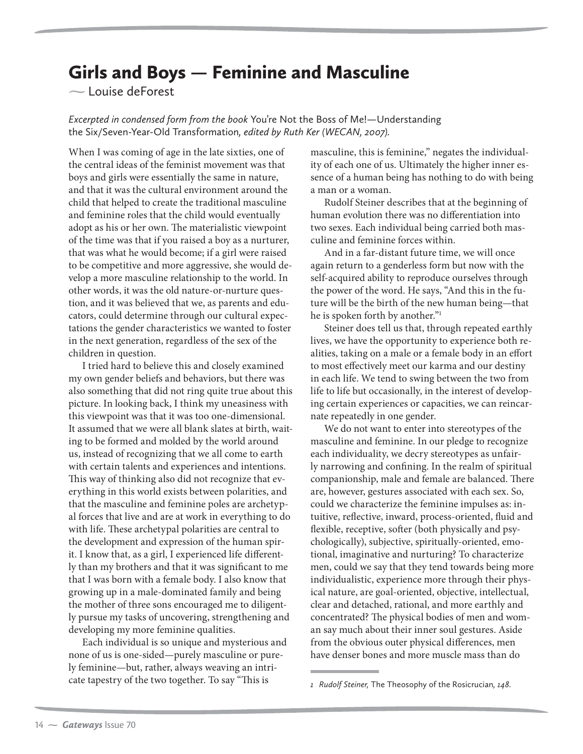## Girls and Boys — Feminine and Masculine

**-**Louise deForest

*Excerpted in condensed form from the book* You're Not the Boss of Me!—Understanding the Six/Seven-Year-Old Transformation*, edited by Ruth Ker (WECAN, 2007).*

When I was coming of age in the late sixties, one of the central ideas of the feminist movement was that boys and girls were essentially the same in nature, and that it was the cultural environment around the child that helped to create the traditional masculine and feminine roles that the child would eventually adopt as his or her own. The materialistic viewpoint of the time was that if you raised a boy as a nurturer, that was what he would become; if a girl were raised to be competitive and more aggressive, she would develop a more masculine relationship to the world. In other words, it was the old nature-or-nurture question, and it was believed that we, as parents and educators, could determine through our cultural expectations the gender characteristics we wanted to foster in the next generation, regardless of the sex of the children in question.

I tried hard to believe this and closely examined my own gender beliefs and behaviors, but there was also something that did not ring quite true about this picture. In looking back, I think my uneasiness with this viewpoint was that it was too one-dimensional. It assumed that we were all blank slates at birth, waiting to be formed and molded by the world around us, instead of recognizing that we all come to earth with certain talents and experiences and intentions. This way of thinking also did not recognize that everything in this world exists between polarities, and that the masculine and feminine poles are archetypal forces that live and are at work in everything to do with life. These archetypal polarities are central to the development and expression of the human spirit. I know that, as a girl, I experienced life differently than my brothers and that it was significant to me that I was born with a female body. I also know that growing up in a male-dominated family and being the mother of three sons encouraged me to diligently pursue my tasks of uncovering, strengthening and developing my more feminine qualities.

Each individual is so unique and mysterious and none of us is one-sided—purely masculine or purely feminine—but, rather, always weaving an intricate tapestry of the two together. To say "This is

masculine, this is feminine," negates the individuality of each one of us. Ultimately the higher inner essence of a human being has nothing to do with being a man or a woman.

Rudolf Steiner describes that at the beginning of human evolution there was no differentiation into two sexes. Each individual being carried both masculine and feminine forces within.

And in a far-distant future time, we will once again return to a genderless form but now with the self-acquired ability to reproduce ourselves through the power of the word. He says, "And this in the future will be the birth of the new human being—that he is spoken forth by another."1

Steiner does tell us that, through repeated earthly lives, we have the opportunity to experience both realities, taking on a male or a female body in an effort to most effectively meet our karma and our destiny in each life. We tend to swing between the two from life to life but occasionally, in the interest of developing certain experiences or capacities, we can reincarnate repeatedly in one gender.

We do not want to enter into stereotypes of the masculine and feminine. In our pledge to recognize each individuality, we decry stereotypes as unfairly narrowing and confining. In the realm of spiritual companionship, male and female are balanced. There are, however, gestures associated with each sex. So, could we characterize the feminine impulses as: intuitive, reflective, inward, process-oriented, fluid and flexible, receptive, softer (both physically and psychologically), subjective, spiritually-oriented, emotional, imaginative and nurturing? To characterize men, could we say that they tend towards being more individualistic, experience more through their physical nature, are goal-oriented, objective, intellectual, clear and detached, rational, and more earthly and concentrated? The physical bodies of men and woman say much about their inner soul gestures. Aside from the obvious outer physical differences, men have denser bones and more muscle mass than do

*<sup>1</sup> Rudolf Steiner,* The Theosophy of the Rosicrucian*, 148.*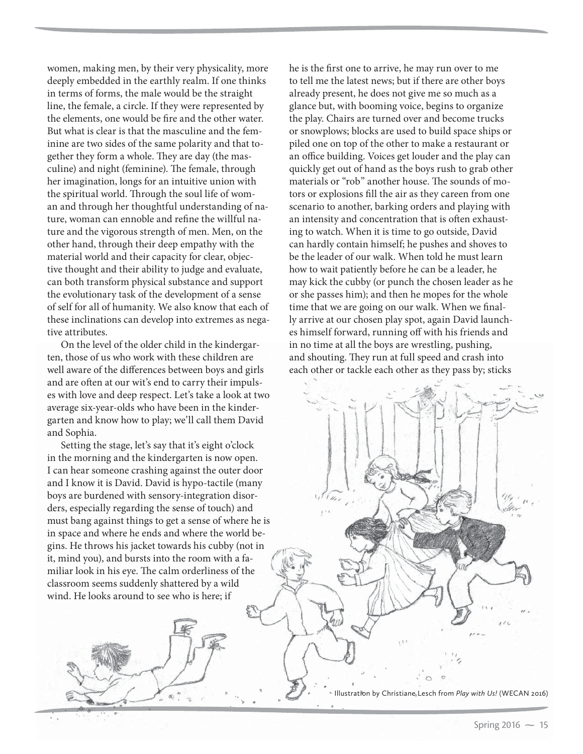women, making men, by their very physicality, more deeply embedded in the earthly realm. If one thinks in terms of forms, the male would be the straight line, the female, a circle. If they were represented by the elements, one would be fire and the other water. But what is clear is that the masculine and the feminine are two sides of the same polarity and that together they form a whole. They are day (the masculine) and night (feminine). The female, through her imagination, longs for an intuitive union with the spiritual world. Through the soul life of woman and through her thoughtful understanding of nature, woman can ennoble and refine the willful nature and the vigorous strength of men. Men, on the other hand, through their deep empathy with the material world and their capacity for clear, objective thought and their ability to judge and evaluate, can both transform physical substance and support the evolutionary task of the development of a sense of self for all of humanity. We also know that each of these inclinations can develop into extremes as negative attributes.

On the level of the older child in the kindergarten, those of us who work with these children are well aware of the differences between boys and girls and are often at our wit's end to carry their impulses with love and deep respect. Let's take a look at two average six-year-olds who have been in the kindergarten and know how to play; we'll call them David and Sophia.

Setting the stage, let's say that it's eight o'clock in the morning and the kindergarten is now open. I can hear someone crashing against the outer door and I know it is David. David is hypo-tactile (many boys are burdened with sensory-integration disorders, especially regarding the sense of touch) and must bang against things to get a sense of where he is in space and where he ends and where the world begins. He throws his jacket towards his cubby (not in it, mind you), and bursts into the room with a familiar look in his eye. The calm orderliness of the classroom seems suddenly shattered by a wild wind. He looks around to see who is here; if

he is the first one to arrive, he may run over to me to tell me the latest news; but if there are other boys already present, he does not give me so much as a glance but, with booming voice, begins to organize the play. Chairs are turned over and become trucks or snowplows; blocks are used to build space ships or piled one on top of the other to make a restaurant or an office building. Voices get louder and the play can quickly get out of hand as the boys rush to grab other materials or "rob" another house. The sounds of motors or explosions fill the air as they careen from one scenario to another, barking orders and playing with an intensity and concentration that is often exhausting to watch. When it is time to go outside, David can hardly contain himself; he pushes and shoves to be the leader of our walk. When told he must learn how to wait patiently before he can be a leader, he may kick the cubby (or punch the chosen leader as he or she passes him); and then he mopes for the whole time that we are going on our walk. When we finally arrive at our chosen play spot, again David launches himself forward, running off with his friends and in no time at all the boys are wrestling, pushing, and shouting. They run at full speed and crash into each other or tackle each other as they pass by; sticks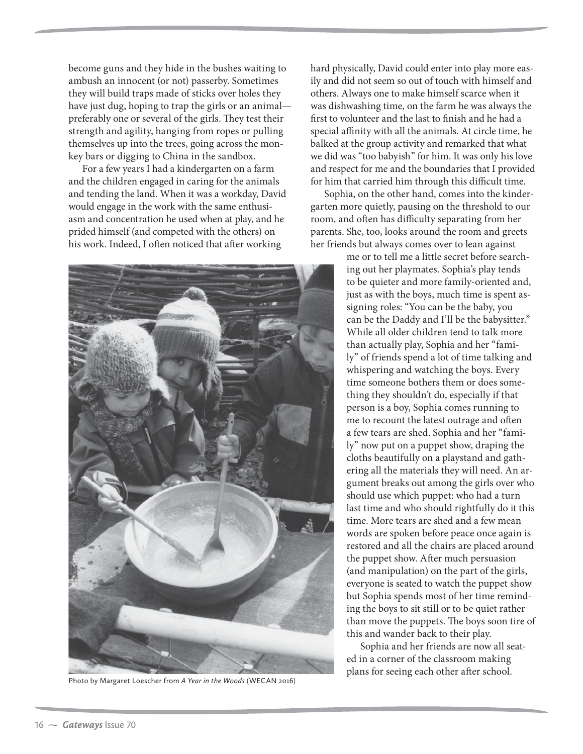become guns and they hide in the bushes waiting to ambush an innocent (or not) passerby. Sometimes they will build traps made of sticks over holes they have just dug, hoping to trap the girls or an animal preferably one or several of the girls. They test their strength and agility, hanging from ropes or pulling themselves up into the trees, going across the monkey bars or digging to China in the sandbox.

For a few years I had a kindergarten on a farm and the children engaged in caring for the animals and tending the land. When it was a workday, David would engage in the work with the same enthusiasm and concentration he used when at play, and he prided himself (and competed with the others) on his work. Indeed, I often noticed that after working



Photo by Margaret Loescher from *A Year in the Woods* (WECAN 2016)

hard physically, David could enter into play more easily and did not seem so out of touch with himself and others. Always one to make himself scarce when it was dishwashing time, on the farm he was always the first to volunteer and the last to finish and he had a special affinity with all the animals. At circle time, he balked at the group activity and remarked that what we did was "too babyish" for him. It was only his love and respect for me and the boundaries that I provided for him that carried him through this difficult time.

Sophia, on the other hand, comes into the kindergarten more quietly, pausing on the threshold to our room, and often has difficulty separating from her parents. She, too, looks around the room and greets her friends but always comes over to lean against

> me or to tell me a little secret before searching out her playmates. Sophia's play tends to be quieter and more family-oriented and, just as with the boys, much time is spent assigning roles: "You can be the baby, you can be the Daddy and I'll be the babysitter." While all older children tend to talk more than actually play, Sophia and her "family" of friends spend a lot of time talking and whispering and watching the boys. Every time someone bothers them or does something they shouldn't do, especially if that person is a boy, Sophia comes running to me to recount the latest outrage and often a few tears are shed. Sophia and her "family" now put on a puppet show, draping the cloths beautifully on a playstand and gathering all the materials they will need. An argument breaks out among the girls over who should use which puppet: who had a turn last time and who should rightfully do it this time. More tears are shed and a few mean words are spoken before peace once again is restored and all the chairs are placed around the puppet show. After much persuasion (and manipulation) on the part of the girls, everyone is seated to watch the puppet show but Sophia spends most of her time reminding the boys to sit still or to be quiet rather than move the puppets. The boys soon tire of this and wander back to their play.

Sophia and her friends are now all seated in a corner of the classroom making plans for seeing each other after school.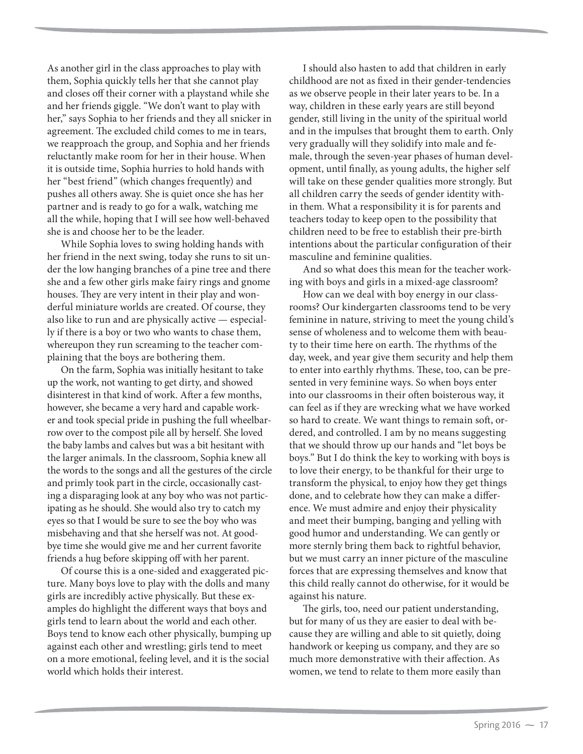As another girl in the class approaches to play with them, Sophia quickly tells her that she cannot play and closes off their corner with a playstand while she and her friends giggle. "We don't want to play with her," says Sophia to her friends and they all snicker in agreement. The excluded child comes to me in tears, we reapproach the group, and Sophia and her friends reluctantly make room for her in their house. When it is outside time, Sophia hurries to hold hands with her "best friend" (which changes frequently) and pushes all others away. She is quiet once she has her partner and is ready to go for a walk, watching me all the while, hoping that I will see how well-behaved she is and choose her to be the leader.

While Sophia loves to swing holding hands with her friend in the next swing, today she runs to sit under the low hanging branches of a pine tree and there she and a few other girls make fairy rings and gnome houses. They are very intent in their play and wonderful miniature worlds are created. Of course, they also like to run and are physically active — especially if there is a boy or two who wants to chase them, whereupon they run screaming to the teacher complaining that the boys are bothering them.

On the farm, Sophia was initially hesitant to take up the work, not wanting to get dirty, and showed disinterest in that kind of work. After a few months, however, she became a very hard and capable worker and took special pride in pushing the full wheelbarrow over to the compost pile all by herself. She loved the baby lambs and calves but was a bit hesitant with the larger animals. In the classroom, Sophia knew all the words to the songs and all the gestures of the circle and primly took part in the circle, occasionally casting a disparaging look at any boy who was not participating as he should. She would also try to catch my eyes so that I would be sure to see the boy who was misbehaving and that she herself was not. At goodbye time she would give me and her current favorite friends a hug before skipping off with her parent.

Of course this is a one-sided and exaggerated picture. Many boys love to play with the dolls and many girls are incredibly active physically. But these examples do highlight the different ways that boys and girls tend to learn about the world and each other. Boys tend to know each other physically, bumping up against each other and wrestling; girls tend to meet on a more emotional, feeling level, and it is the social world which holds their interest.

I should also hasten to add that children in early childhood are not as fixed in their gender-tendencies as we observe people in their later years to be. In a way, children in these early years are still beyond gender, still living in the unity of the spiritual world and in the impulses that brought them to earth. Only very gradually will they solidify into male and female, through the seven-year phases of human development, until finally, as young adults, the higher self will take on these gender qualities more strongly. But all children carry the seeds of gender identity within them. What a responsibility it is for parents and teachers today to keep open to the possibility that children need to be free to establish their pre-birth intentions about the particular configuration of their masculine and feminine qualities.

And so what does this mean for the teacher working with boys and girls in a mixed-age classroom?

How can we deal with boy energy in our classrooms? Our kindergarten classrooms tend to be very feminine in nature, striving to meet the young child's sense of wholeness and to welcome them with beauty to their time here on earth. The rhythms of the day, week, and year give them security and help them to enter into earthly rhythms. These, too, can be presented in very feminine ways. So when boys enter into our classrooms in their often boisterous way, it can feel as if they are wrecking what we have worked so hard to create. We want things to remain soft, ordered, and controlled. I am by no means suggesting that we should throw up our hands and "let boys be boys." But I do think the key to working with boys is to love their energy, to be thankful for their urge to transform the physical, to enjoy how they get things done, and to celebrate how they can make a difference. We must admire and enjoy their physicality and meet their bumping, banging and yelling with good humor and understanding. We can gently or more sternly bring them back to rightful behavior, but we must carry an inner picture of the masculine forces that are expressing themselves and know that this child really cannot do otherwise, for it would be against his nature.

The girls, too, need our patient understanding, but for many of us they are easier to deal with because they are willing and able to sit quietly, doing handwork or keeping us company, and they are so much more demonstrative with their affection. As women, we tend to relate to them more easily than